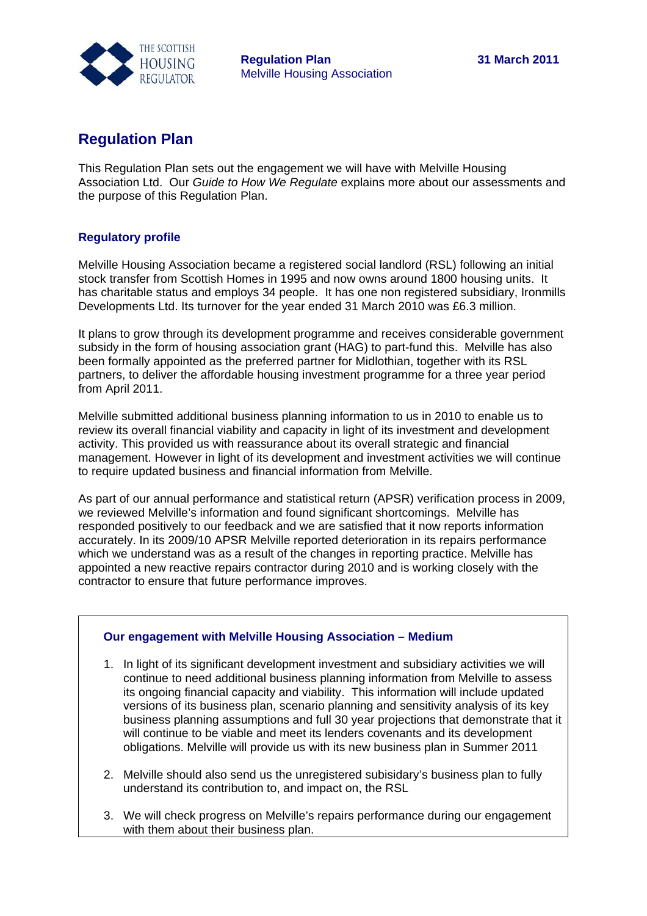

## **Regulation Plan**

This Regulation Plan sets out the engagement we will have with Melville Housing Association Ltd. Our *Guide to How We Regulate* explains more about our assessments and the purpose of this Regulation Plan.

## **Regulatory profile**

Melville Housing Association became a registered social landlord (RSL) following an initial stock transfer from Scottish Homes in 1995 and now owns around 1800 housing units. It has charitable status and employs 34 people. It has one non registered subsidiary, Ironmills Developments Ltd. Its turnover for the year ended 31 March 2010 was £6.3 million.

It plans to grow through its development programme and receives considerable government subsidy in the form of housing association grant (HAG) to part-fund this. Melville has also been formally appointed as the preferred partner for Midlothian, together with its RSL partners, to deliver the affordable housing investment programme for a three year period from April 2011.

Melville submitted additional business planning information to us in 2010 to enable us to review its overall financial viability and capacity in light of its investment and development activity. This provided us with reassurance about its overall strategic and financial management. However in light of its development and investment activities we will continue to require updated business and financial information from Melville.

As part of our annual performance and statistical return (APSR) verification process in 2009, we reviewed Melville's information and found significant shortcomings. Melville has responded positively to our feedback and we are satisfied that it now reports information accurately. In its 2009/10 APSR Melville reported deterioration in its repairs performance which we understand was as a result of the changes in reporting practice. Melville has appointed a new reactive repairs contractor during 2010 and is working closely with the contractor to ensure that future performance improves.

## **Our engagement with Melville Housing Association – Medium**

- 1. In light of its significant development investment and subsidiary activities we will continue to need additional business planning information from Melville to assess its ongoing financial capacity and viability. This information will include updated versions of its business plan, scenario planning and sensitivity analysis of its key business planning assumptions and full 30 year projections that demonstrate that it will continue to be viable and meet its lenders covenants and its development obligations. Melville will provide us with its new business plan in Summer 2011
- 2. Melville should also send us the unregistered subisidary's business plan to fully understand its contribution to, and impact on, the RSL
- 3. We will check progress on Melville's repairs performance during our engagement with them about their business plan.